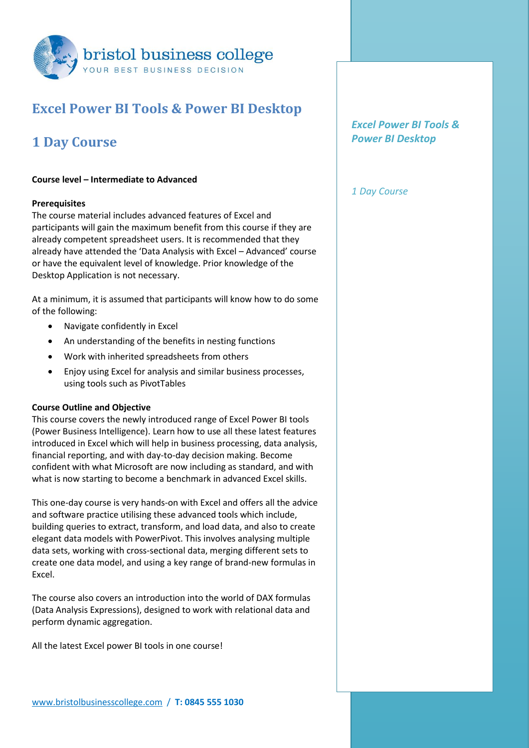

## **Excel Power BI Tools & Power BI Desktop**

# **1 Day Course**

### **Course level – Intermediate to Advanced**

#### **Prerequisites**

The course material includes advanced features of Excel and participants will gain the maximum benefit from this course if they are already competent spreadsheet users. It is recommended that they already have attended the 'Data Analysis with Excel – Advanced' course or have the equivalent level of knowledge. Prior knowledge of the Desktop Application is not necessary.

At a minimum, it is assumed that participants will know how to do some of the following:

- Navigate confidently in Excel
- An understanding of the benefits in nesting functions
- Work with inherited spreadsheets from others
- Enjoy using Excel for analysis and similar business processes, using tools such as PivotTables

#### **Course Outline and Objective**

This course covers the newly introduced range of Excel Power BI tools (Power Business Intelligence). Learn how to use all these latest features introduced in Excel which will help in business processing, data analysis, financial reporting, and with day-to-day decision making. Become confident with what Microsoft are now including as standard, and with what is now starting to become a benchmark in advanced Excel skills.

This one-day course is very hands-on with Excel and offers all the advice and software practice utilising these advanced tools which include, building queries to extract, transform, and load data, and also to create elegant data models with PowerPivot. This involves analysing multiple data sets, working with cross-sectional data, merging different sets to create one data model, and using a key range of brand-new formulas in Excel.

The course also covers an introduction into the world of DAX formulas (Data Analysis Expressions), designed to work with relational data and perform dynamic aggregation.

All the latest Excel power BI tools in one course!

*Excel Power BI Tools & Power BI Desktop* 

*1 Day Course*